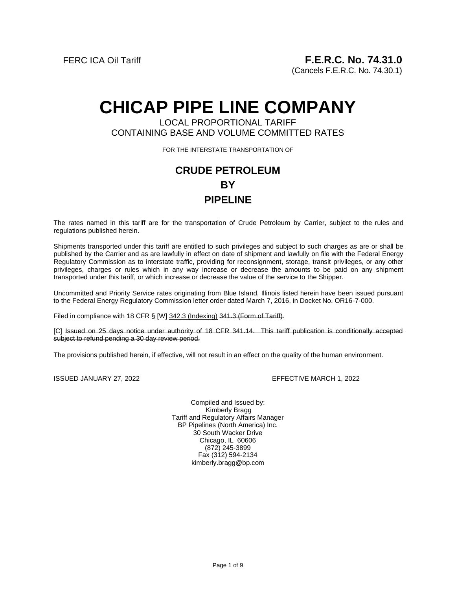(Cancels F.E.R.C. No. 74.30.1)

# **CHICAP PIPE LINE COMPANY**

# LOCAL PROPORTIONAL TARIFF CONTAINING BASE AND VOLUME COMMITTED RATES

FOR THE INTERSTATE TRANSPORTATION OF

# **CRUDE PETROLEUM BY PIPELINE**

The rates named in this tariff are for the transportation of Crude Petroleum by Carrier, subject to the rules and regulations published herein.

Shipments transported under this tariff are entitled to such privileges and subject to such charges as are or shall be published by the Carrier and as are lawfully in effect on date of shipment and lawfully on file with the Federal Energy Regulatory Commission as to interstate traffic, providing for reconsignment, storage, transit privileges, or any other privileges, charges or rules which in any way increase or decrease the amounts to be paid on any shipment transported under this tariff, or which increase or decrease the value of the service to the Shipper.

Uncommitted and Priority Service rates originating from Blue Island, Illinois listed herein have been issued pursuant to the Federal Energy Regulatory Commission letter order dated March 7, 2016, in Docket No. OR16-7-000.

Filed in compliance with 18 CFR § [W] 342.3 (Indexing) 341.3 (Form of Tariff).

[C] Issued on 25 days notice under authority of 18 CFR 341.14. This tariff publication is conditionally accepted subject to refund pending a 30 day review period.

The provisions published herein, if effective, will not result in an effect on the quality of the human environment.

ISSUED JANUARY 27, 2022 EFFECTIVE MARCH 1, 2022

Compiled and Issued by: Kimberly Bragg Tariff and Regulatory Affairs Manager BP Pipelines (North America) Inc. 30 South Wacker Drive Chicago, IL 60606 (872) 245-3899 Fax (312) 594-2134 kimberly.bragg@bp.com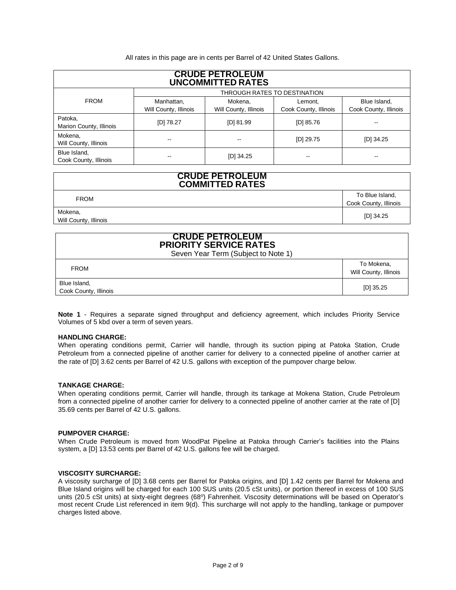All rates in this page are in cents per Barrel of 42 United States Gallons.

| <b>CRUDE PETROLEUM</b><br><b>UNCOMMITTED RATES</b> |                                     |                                  |                                  |                                       |  |
|----------------------------------------------------|-------------------------------------|----------------------------------|----------------------------------|---------------------------------------|--|
|                                                    | THROUGH RATES TO DESTINATION        |                                  |                                  |                                       |  |
| <b>FROM</b>                                        | Manhattan,<br>Will County, Illinois | Mokena,<br>Will County, Illinois | Lemont,<br>Cook County, Illinois | Blue Island,<br>Cook County, Illinois |  |
| Patoka,<br>Marion County, Illinois                 | [D] 78.27                           | [D] 81.99                        | $[D]$ 85.76                      |                                       |  |
| Mokena,<br>Will County, Illinois                   | --                                  | --                               | $[D]$ 29.75                      | $[D]$ 34.25                           |  |
| Blue Island,<br>Cook County, Illinois              |                                     | $[D]$ 34.25                      |                                  |                                       |  |

# **CRUDE PETROLEUM COMMITTED RATES**

FROM To Blue Island, Cook County, Illinois Mokena, Will County, Illinois [D] 34.25

# **CRUDE PETROLEUM PRIORITY SERVICE RATES**

Seven Year Term (Subject to Note 1)

| ________________________________      |                                     |  |  |
|---------------------------------------|-------------------------------------|--|--|
| <b>FROM</b>                           | To Mokena,<br>Will County, Illinois |  |  |
| Blue Island,<br>Cook County, Illinois | $[D]$ 35.25                         |  |  |

**Note 1** - Requires a separate signed throughput and deficiency agreement, which includes Priority Service Volumes of 5 kbd over a term of seven years.

# **HANDLING CHARGE:**

When operating conditions permit, Carrier will handle, through its suction piping at Patoka Station, Crude Petroleum from a connected pipeline of another carrier for delivery to a connected pipeline of another carrier at the rate of [D] 3.62 cents per Barrel of 42 U.S. gallons with exception of the pumpover charge below.

# **TANKAGE CHARGE:**

When operating conditions permit, Carrier will handle, through its tankage at Mokena Station, Crude Petroleum from a connected pipeline of another carrier for delivery to a connected pipeline of another carrier at the rate of [D] 35.69 cents per Barrel of 42 U.S. gallons.

## **PUMPOVER CHARGE:**

When Crude Petroleum is moved from WoodPat Pipeline at Patoka through Carrier's facilities into the Plains system, a [D] 13.53 cents per Barrel of 42 U.S. gallons fee will be charged.

# **VISCOSITY SURCHARGE:**

A viscosity surcharge of [D] 3.68 cents per Barrel for Patoka origins, and [D] 1.42 cents per Barrel for Mokena and Blue Island origins will be charged for each 100 SUS units (20.5 cSt units), or portion thereof in excess of 100 SUS units (20.5 cSt units) at sixty-eight degrees (68°) Fahrenheit. Viscosity determinations will be based on Operator's most recent Crude List referenced in item 9(d). This surcharge will not apply to the handling, tankage or pumpover charges listed above.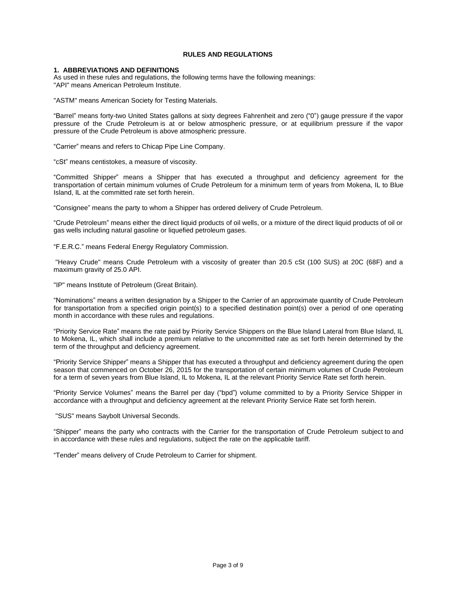# **RULES AND REGULATIONS**

# **1. ABBREVIATIONS AND DEFINITIONS**

As used in these rules and regulations, the following terms have the following meanings: "API" means American Petroleum Institute.

"ASTM" means American Society for Testing Materials.

"Barrel" means forty-two United States gallons at sixty degrees Fahrenheit and zero ("0") gauge pressure if the vapor pressure of the Crude Petroleum is at or below atmospheric pressure, or at equilibrium pressure if the vapor pressure of the Crude Petroleum is above atmospheric pressure.

"Carrier" means and refers to Chicap Pipe Line Company.

"cSt" means centistokes, a measure of viscosity.

"Committed Shipper" means a Shipper that has executed a throughput and deficiency agreement for the transportation of certain minimum volumes of Crude Petroleum for a minimum term of years from Mokena, IL to Blue Island, IL at the committed rate set forth herein.

"Consignee" means the party to whom a Shipper has ordered delivery of Crude Petroleum.

"Crude Petroleum" means either the direct liquid products of oil wells, or a mixture of the direct liquid products of oil or gas wells including natural gasoline or liquefied petroleum gases.

"F.E.R.C." means Federal Energy Regulatory Commission.

"Heavy Crude" means Crude Petroleum with a viscosity of greater than 20.5 cSt (100 SUS) at 20C (68F) and a maximum gravity of 25.0 API.

"IP" means Institute of Petroleum (Great Britain).

"Nominations" means a written designation by a Shipper to the Carrier of an approximate quantity of Crude Petroleum for transportation from a specified origin point(s) to a specified destination point(s) over a period of one operating month in accordance with these rules and regulations.

"Priority Service Rate" means the rate paid by Priority Service Shippers on the Blue Island Lateral from Blue Island, IL to Mokena, IL, which shall include a premium relative to the uncommitted rate as set forth herein determined by the term of the throughput and deficiency agreement.

"Priority Service Shipper" means a Shipper that has executed a throughput and deficiency agreement during the open season that commenced on October 26, 2015 for the transportation of certain minimum volumes of Crude Petroleum for a term of seven years from Blue Island, IL to Mokena, IL at the relevant Priority Service Rate set forth herein.

"Priority Service Volumes" means the Barrel per day ("bpd") volume committed to by a Priority Service Shipper in accordance with a throughput and deficiency agreement at the relevant Priority Service Rate set forth herein.

"SUS" means Saybolt Universal Seconds.

"Shipper" means the party who contracts with the Carrier for the transportation of Crude Petroleum subject to and in accordance with these rules and regulations, subject the rate on the applicable tariff.

"Tender" means delivery of Crude Petroleum to Carrier for shipment.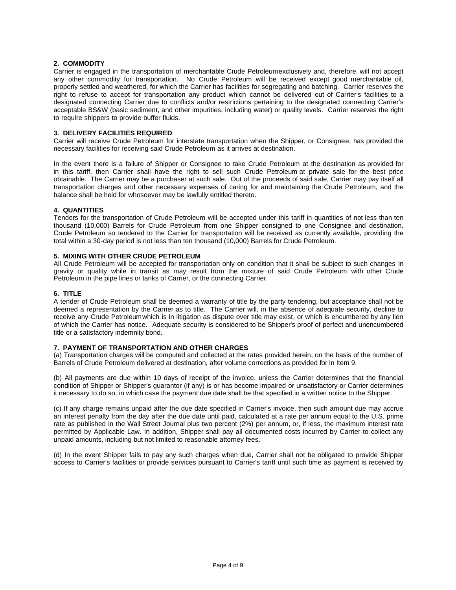# **2. COMMODITY**

Carrier is engaged in the transportation of merchantable Crude Petroleumexclusively and, therefore, will not accept any other commodity for transportation. No Crude Petroleum will be received except good merchantable oil, properly settled and weathered, for which the Carrier has facilities for segregating and batching. Carrier reserves the right to refuse to accept for transportation any product which cannot be delivered out of Carrier's facilities to a designated connecting Carrier due to conflicts and/or restrictions pertaining to the designated connecting Carrier's acceptable BS&W (basic sediment, and other impurities, including water) or quality levels. Carrier reserves the right to require shippers to provide buffer fluids.

# **3. DELIVERY FACILITIES REQUIRED**

Carrier will receive Crude Petroleum for interstate transportation when the Shipper, or Consignee, has provided the necessary facilities for receiving said Crude Petroleum as it arrives at destination.

In the event there is a failure of Shipper or Consignee to take Crude Petroleum at the destination as provided for in this tariff, then Carrier shall have the right to sell such Crude Petroleum at private sale for the best price obtainable. The Carrier may be a purchaser at such sale. Out of the proceeds of said sale, Carrier may pay itself all transportation charges and other necessary expenses of caring for and maintaining the Crude Petroleum, and the balance shall be held for whosoever may be lawfully entitled thereto.

# **4. QUANTITIES**

Tenders for the transportation of Crude Petroleum will be accepted under this tariff in quantities of not less than ten thousand (10,000) Barrels for Crude Petroleum from one Shipper consigned to one Consignee and destination. Crude Petroleum so tendered to the Carrier for transportation will be received as currently available, providing the total within a 30-day period is not less than ten thousand (10,000) Barrels for Crude Petroleum.

# **5. MIXING WITH OTHER CRUDE PETROLEUM**

All Crude Petroleum will be accepted for transportation only on condition that it shall be subject to such changes in gravity or quality while in transit as may result from the mixture of said Crude Petroleum with other Crude Petroleum in the pipe lines or tanks of Carrier, or the connecting Carrier.

# **6. TITLE**

A tender of Crude Petroleum shall be deemed a warranty of title by the party tendering, but acceptance shall not be deemed a representation by the Carrier as to title. The Carrier will, in the absence of adequate security, decline to receive any Crude Petroleum which is in litigation as dispute over title may exist, or which is encumbered by any lien of which the Carrier has notice. Adequate security is considered to be Shipper's proof of perfect and unencumbered title or a satisfactory indemnity bond.

# **7. PAYMENT OF TRANSPORTATION AND OTHER CHARGES**

(a) Transportation charges will be computed and collected at the rates provided herein, on the basis of the number of Barrels of Crude Petroleum delivered at destination, after volume corrections as provided for in Item 9.

(b) All payments are due within 10 days of receipt of the invoice, unless the Carrier determines that the financial condition of Shipper or Shipper's guarantor (if any) is or has become impaired or unsatisfactory or Carrier determines it necessary to do so, in which case the payment due date shall be that specified in a written notice to the Shipper.

(c) If any charge remains unpaid after the due date specified in Carrier's invoice, then such amount due may accrue an interest penalty from the day after the due date until paid, calculated at a rate per annum equal to the U.S. prime rate as published in the Wall Street Journal plus two percent (2%) per annum, or, if less, the maximum interest rate permitted by Applicable Law. In addition, Shipper shall pay all documented costs incurred by Carrier to collect any unpaid amounts, including but not limited to reasonable attorney fees.

(d) In the event Shipper fails to pay any such charges when due, Carrier shall not be obligated to provide Shipper access to Carrier's facilities or provide services pursuant to Carrier's tariff until such time as payment is received by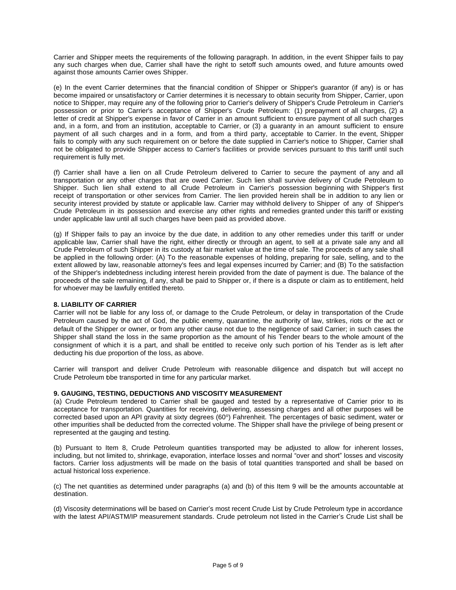Carrier and Shipper meets the requirements of the following paragraph. In addition, in the event Shipper fails to pay any such charges when due, Carrier shall have the right to setoff such amounts owed, and future amounts owed against those amounts Carrier owes Shipper.

(e) In the event Carrier determines that the financial condition of Shipper or Shipper's guarantor (if any) is or has become impaired or unsatisfactory or Carrier determines it is necessary to obtain security from Shipper, Carrier, upon notice to Shipper, may require any of the following prior to Carrier's delivery of Shipper's Crude Petroleum in Carrier's possession or prior to Carrier's acceptance of Shipper's Crude Petroleum: (1) prepayment of all charges, (2) a letter of credit at Shipper's expense in favor of Carrier in an amount sufficient to ensure payment of all such charges and, in a form, and from an institution, acceptable to Carrier, or (3) a guaranty in an amount sufficient to ensure payment of all such charges and in a form, and from a third party, acceptable to Carrier. In the event, Shipper fails to comply with any such requirement on or before the date supplied in Carrier's notice to Shipper, Carrier shall not be obligated to provide Shipper access to Carrier's facilities or provide services pursuant to this tariff until such requirement is fully met.

(f) Carrier shall have a lien on all Crude Petroleum delivered to Carrier to secure the payment of any and all transportation or any other charges that are owed Carrier. Such lien shall survive delivery of Crude Petroleum to Shipper. Such lien shall extend to all Crude Petroleum in Carrier's possession beginning with Shipper's first receipt of transportation or other services from Carrier. The lien provided herein shall be in addition to any lien or security interest provided by statute or applicable law. Carrier may withhold delivery to Shipper of any of Shipper's Crude Petroleum in its possession and exercise any other rights and remedies granted under this tariff or existing under applicable law until all such charges have been paid as provided above.

(g) If Shipper fails to pay an invoice by the due date, in addition to any other remedies under this tariff or under applicable law, Carrier shall have the right, either directly or through an agent, to sell at a private sale any and all Crude Petroleum of such Shipper in its custody at fair market value at the time of sale. The proceeds of any sale shall be applied in the following order: (A) To the reasonable expenses of holding, preparing for sale, selling, and to the extent allowed by law, reasonable attorney's fees and legal expenses incurred by Carrier; and (B) To the satisfaction of the Shipper's indebtedness including interest herein provided from the date of payment is due. The balance of the proceeds of the sale remaining, if any, shall be paid to Shipper or, if there is a dispute or claim as to entitlement, held for whoever may be lawfully entitled thereto.

# **8. LIABILITY OF CARRIER**

Carrier will not be liable for any loss of, or damage to the Crude Petroleum, or delay in transportation of the Crude Petroleum caused by the act of God, the public enemy, quarantine, the authority of law, strikes, riots or the act or default of the Shipper or owner, or from any other cause not due to the negligence of said Carrier; in such cases the Shipper shall stand the loss in the same proportion as the amount of his Tender bears to the whole amount of the consignment of which it is a part, and shall be entitled to receive only such portion of his Tender as is left after deducting his due proportion of the loss, as above.

Carrier will transport and deliver Crude Petroleum with reasonable diligence and dispatch but will accept no Crude Petroleum bbe transported in time for any particular market.

# **9. GAUGING, TESTING, DEDUCTIONS AND VISCOSITY MEASUREMENT**

(a) Crude Petroleum tendered to Carrier shall be gauged and tested by a representative of Carrier prior to its acceptance for transportation. Quantities for receiving, delivering, assessing charges and all other purposes will be corrected based upon an API gravity at sixty degrees (60°) Fahrenheit. The percentages of basic sediment, water or other impurities shall be deducted from the corrected volume. The Shipper shall have the privilege of being present or represented at the gauging and testing.

(b) Pursuant to Item 8, Crude Petroleum quantities transported may be adjusted to allow for inherent losses, including, but not limited to, shrinkage, evaporation, interface losses and normal "over and short" losses and viscosity factors. Carrier loss adjustments will be made on the basis of total quantities transported and shall be based on actual historical loss experience.

(c) The net quantities as determined under paragraphs (a) and (b) of this Item 9 will be the amounts accountable at destination.

(d) Viscosity determinations will be based on Carrier's most recent Crude List by Crude Petroleum type in accordance with the latest API/ASTM/IP measurement standards. Crude petroleum not listed in the Carrier's Crude List shall be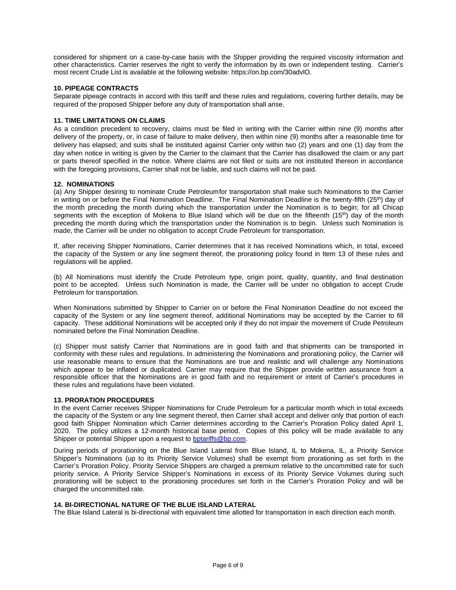considered for shipment on a case-by-case basis with the Shipper providing the required viscosity information and other characteristics. Carrier reserves the right to verify the information by its own or independent testing. Carrier's most recent Crude List is available at the following website: https://on.bp.com/30advlO.

# **10. PIPEAGE CONTRACTS**

Separate pipeage contracts in accord with this tariff and these rules and regulations, covering further details, may be required of the proposed Shipper before any duty of transportation shall arise.

# **11. TIME LIMITATIONS ON CLAIMS**

As a condition precedent to recovery, claims must be filed in writing with the Carrier within nine (9) months after delivery of the property, or, in case of failure to make delivery, then within nine (9) months after a reasonable time for delivery has elapsed; and suits shall be instituted against Carrier only within two (2) years and one (1) day from the day when notice in writing is given by the Carrier to the claimant that the Carrier has disallowed the claim or any part or parts thereof specified in the notice. Where claims are not filed or suits are not instituted thereon in accordance with the foregoing provisions, Carrier shall not be liable, and such claims will not be paid.

# **12. NOMINATIONS**

(a) Any Shipper desiring to nominate Crude Petroleumfor transportation shall make such Nominations to the Carrier in writing on or before the Final Nomination Deadline. The Final Nomination Deadline is the twenty-fifth (25<sup>th</sup>) day of the month preceding the month during which the transportation under the Nomination is to begin; for all Chicap segments with the exception of Mokena to Blue Island which will be due on the fifteenth (15<sup>th</sup>) day of the month preceding the month during which the transportation under the Nomination is to begin. Unless such Nomination is made, the Carrier will be under no obligation to accept Crude Petroleum for transportation.

If, after receiving Shipper Nominations, Carrier determines that it has received Nominations which, in total, exceed the capacity of the System or any line segment thereof, the prorationing policy found in Item 13 of these rules and regulations will be applied.

(b) All Nominations must identify the Crude Petroleum type, origin point, quality, quantity, and final destination point to be accepted. Unless such Nomination is made, the Carrier will be under no obligation to accept Crude Petroleum for transportation.

When Nominations submitted by Shipper to Carrier on or before the Final Nomination Deadline do not exceed the capacity of the System or any line segment thereof, additional Nominations may be accepted by the Carrier to fill capacity. These additional Nominations will be accepted only if they do not impair the movement of Crude Petroleum nominated before the Final Nomination Deadline.

(c) Shipper must satisfy Carrier that Nominations are in good faith and that shipments can be transported in conformity with these rules and regulations. In administering the Nominations and prorationing policy, the Carrier will use reasonable means to ensure that the Nominations are true and realistic and will challenge any Nominations which appear to be inflated or duplicated. Carrier may require that the Shipper provide written assurance from a responsible officer that the Nominations are in good faith and no requirement or intent of Carrier's procedures in these rules and regulations have been violated.

## **13. PRORATION PROCEDURES**

In the event Carrier receives Shipper Nominations for Crude Petroleum for a particular month which in total exceeds the capacity of the System or any line segment thereof, then Carrier shall accept and deliver only that portion of each good faith Shipper Nomination which Carrier determines according to the Carrier's Proration Policy dated April 1, 2020. The policy utilizes a 12-month historical base period. Copies of this policy will be made available to any Shipper or potential Shipper upon a request to bptariffs@bp.com.

During periods of prorationing on the Blue Island Lateral from Blue Island, IL to Mokena, IL, a Priority Service Shipper's Nominations (up to its Priority Service Volumes) shall be exempt from prorationing as set forth in the Carrier's Proration Policy. Priority Service Shippers are charged a premium relative to the uncommitted rate for such priority service. A Priority Service Shipper's Nominations in excess of its Priority Service Volumes during such prorationing will be subject to the prorationing procedures set forth in the Carrier's Proration Policy and will be charged the uncommitted rate.

# **14. BI-DIRECTIONAL NATURE OF THE BLUE ISLAND LATERAL**

The Blue Island Lateral is bi-directional with equivalent time allotted for transportation in each direction each month.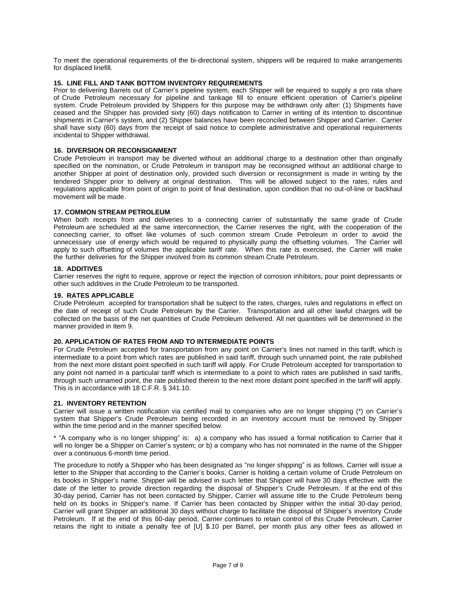To meet the operational requirements of the bi-directional system, shippers will be required to make arrangements for displaced linefill.

# **15. LINE FILL AND TANK BOTTOM INVENTORY REQUIREMENTS**

Prior to delivering Barrels out of Carrier's pipeline system, each Shipper will be required to supply a pro rata share of Crude Petroleum necessary for pipeline and tankage fill to ensure efficient operation of Carrier's pipeline system. Crude Petroleum provided by Shippers for this purpose may be withdrawn only after: (1) Shipments have ceased and the Shipper has provided sixty (60) days notification to Carrier in writing of its intention to discontinue shipments in Carrier's system, and (2) Shipper balances have been reconciled between Shipper and Carrier. Carrier shall have sixty (60) days from the receipt of said notice to complete administrative and operational requirements incidental to Shipper withdrawal.

# **16. DIVERSION OR RECONSIGNMENT**

Crude Petroleum in transport may be diverted without an additional charge to a destination other than originally specified on the nomination, or Crude Petroleum in transport may be reconsigned without an additional charge to another Shipper at point of destination only, provided such diversion or reconsignment is made in writing by the tendered Shipper prior to delivery at original destination. This will be allowed subject to the rates, rules and regulations applicable from point of origin to point of final destination, upon condition that no out-of-line or backhaul movement will be made.

## **17. COMMON STREAM PETROLEUM**

When both receipts from and deliveries to a connecting carrier of substantially the same grade of Crude Petroleum are scheduled at the same interconnection, the Carrier reserves the right, with the cooperation of the connecting carrier, to offset like volumes of such common stream Crude Petroleum in order to avoid the unnecessary use of energy which would be required to physically pump the offsetting volumes. The Carrier will apply to such offsetting of volumes the applicable tariff rate. When this rate is exercised, the Carrier will make the further deliveries for the Shipper involved from its common stream Crude Petroleum.

## **18. ADDITIVES**

Carrier reserves the right to require, approve or reject the injection of corrosion inhibitors, pour point depressants or other such additives in the Crude Petroleum to be transported.

# **19. RATES APPLICABLE**

Crude Petroleum accepted for transportation shall be subject to the rates, charges, rules and regulations in effect on the date of receipt of such Crude Petroleum by the Carrier. Transportation and all other lawful charges will be collected on the basis of the net quantities of Crude Petroleum delivered. All net quantities will be determined in the manner provided in Item 9.

## **20. APPLICATION OF RATES FROM AND TO INTERMEDIATE POINTS**

For Crude Petroleum accepted for transportation from any point on Carrier's lines not named in this tariff, which is intermediate to a point from which rates are published in said tariff, through such unnamed point, the rate published from the next more distant point specified in such tariff will apply. For Crude Petroleum accepted for transportation to any point not named in a particular tariff which is intermediate to a point to which rates are published in said tariffs, through such unnamed point, the rate published therein to the next more distant point specified in the tariff will apply. This is in accordance with 18 C.F.R. § 341.10.

## **21. INVENTORY RETENTION**

Carrier will issue a written notification via certified mail to companies who are no longer shipping (\*) on Carrier's system that Shipper's Crude Petroleum being recorded in an inventory account must be removed by Shipper within the time period and in the manner specified below.

\* "A company who is no longer shipping" is: a) a company who has issued a formal notification to Carrier that it will no longer be a Shipper on Carrier's system; or b) a company who has not nominated in the name of the Shipper over a continuous 6-month time period.

The procedure to notify a Shipper who has been designated as "no longer shipping" is as follows. Carrier will issue a letter to the Shipper that according to the Carrier's books, Carrier is holding a certain volume of Crude Petroleum on its books in Shipper's name. Shipper will be advised in such letter that Shipper will have 30 days effective with the date of the letter to provide direction regarding the disposal of Shipper's Crude Petroleum. If at the end of this 30-day period, Carrier has not been contacted by Shipper, Carrier will assume title to the Crude Petroleum being held on its books in Shipper's name. If Carrier has been contacted by Shipper within the initial 30-day period, Carrier will grant Shipper an additional 30 days without charge to facilitate the disposal of Shipper's inventory Crude Petroleum. If at the end of this 60-day period, Carrier continues to retain control of this Crude Petroleum, Carrier retains the right to initiate a penalty fee of [U] \$.10 per Barrel, per month plus any other fees as allowed in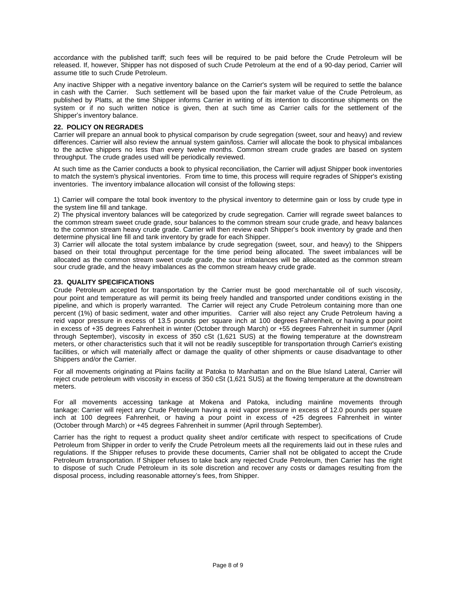accordance with the published tariff; such fees will be required to be paid before the Crude Petroleum will be released. If, however, Shipper has not disposed of such Crude Petroleum at the end of a 90-day period, Carrier will assume title to such Crude Petroleum.

Any inactive Shipper with a negative inventory balance on the Carrier's system will be required to settle the balance in cash with the Carrier. Such settlement will be based upon the fair market value of the Crude Petroleum, as published by Platts, at the time Shipper informs Carrier in writing of its intention to discontinue shipments on the system or if no such written notice is given, then at such time as Carrier calls for the settlement of the Shipper's inventory balance.

# **22. POLICY ON REGRADES**

Carrier will prepare an annual book to physical comparison by crude segregation (sweet, sour and heavy) and review differences. Carrier will also review the annual system gain/loss. Carrier will allocate the book to physical imbalances to the active shippers no less than every twelve months. Common stream crude grades are based on system throughput. The crude grades used will be periodically reviewed.

At such time as the Carrier conducts a book to physical reconciliation, the Carrier will adjust Shipper book inventories to match the system's physical inventories. From time to time, this process will require regrades of Shipper's existing inventories. The inventory imbalance allocation will consist of the following steps:

1) Carrier will compare the total book inventory to the physical inventory to determine gain or loss by crude type in the system line fill and tankage.

2) The physical inventory balances will be categorized by crude segregation. Carrier will regrade sweet balances to the common stream sweet crude grade, sour balances to the common stream sour crude grade, and heavy balances to the common stream heavy crude grade. Carrier will then review each Shipper's book inventory by grade and then determine physical line fill and tank inventory by grade for each Shipper.

3) Carrier will allocate the total system imbalance by crude segregation (sweet, sour, and heavy) to the Shippers based on their total throughput percentage for the time period being allocated. The sweet imbalances will be allocated as the common stream sweet crude grade, the sour imbalances will be allocated as the common stream sour crude grade, and the heavy imbalances as the common stream heavy crude grade.

# **23. QUALITY SPECIFICATIONS**

Crude Petroleum accepted for transportation by the Carrier must be good merchantable oil of such viscosity, pour point and temperature as will permit its being freely handled and transported under conditions existing in the pipeline, and which is properly warranted. The Carrier will reject any Crude Petroleum containing more than one percent (1%) of basic sediment, water and other impurities. Carrier will also reject any Crude Petroleum having a reid vapor pressure in excess of 13.5 pounds per square inch at 100 degrees Fahrenheit, or having a pour point in excess of +35 degrees Fahrenheit in winter (October through March) or +55 degrees Fahrenheit in summer (April through September), viscosity in excess of 350 cSt (1,621 SUS) at the flowing temperature at the downstream meters, or other characteristics such that it will not be readily susceptible for transportation through Carrier's existing facilities, or which will materially affect or damage the quality of other shipments or cause disadvantage to other Shippers and/or the Carrier.

For all movements originating at Plains facility at Patoka to Manhattan and on the Blue Island Lateral, Carrier will reject crude petroleum with viscosity in excess of 350 cSt (1,621 SUS) at the flowing temperature at the downstream meters.

For all movements accessing tankage at Mokena and Patoka, including mainline movements through tankage: Carrier will reject any Crude Petroleum having a reid vapor pressure in excess of 12.0 pounds per square inch at 100 degrees Fahrenheit, or having a pour point in excess of +25 degrees Fahrenheit in winter (October through March) or +45 degrees Fahrenheit in summer (April through September).

Carrier has the right to request a product quality sheet and/or certificate with respect to specifications of Crude Petroleum from Shipper in order to verify the Crude Petroleum meets all the requirements laid out in these rules and regulations. If the Shipper refuses to provide these documents, Carrier shall not be obligated to accept the Crude Petroleum fortransportation. If Shipper refuses to take back any rejected Crude Petroleum, then Carrier has the right to dispose of such Crude Petroleum in its sole discretion and recover any costs or damages resulting from the disposal process, including reasonable attorney's fees, from Shipper.